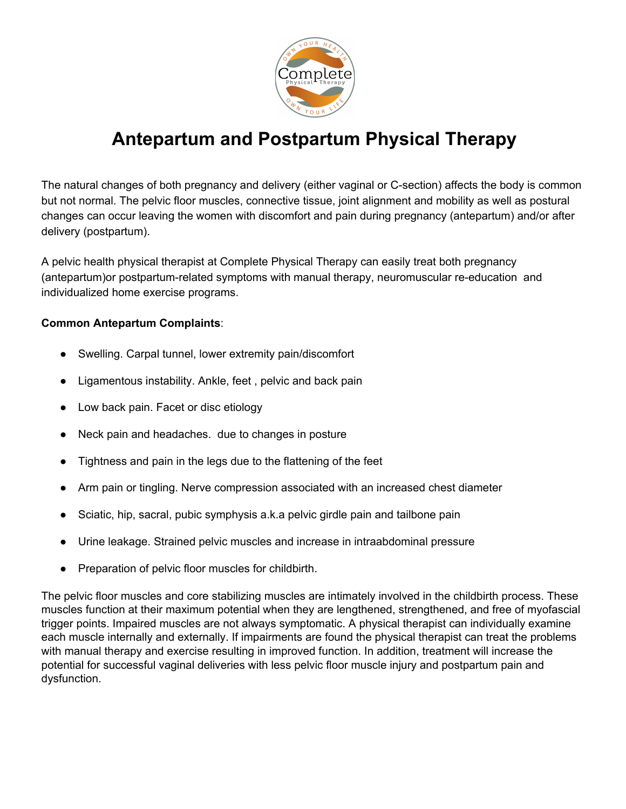

# **Antepartum and Postpartum Physical Therapy**

The natural changes of both pregnancy and delivery (either vaginal or C-section) affects the body is common but not normal. The pelvic floor muscles, connective tissue, joint alignment and mobility as well as postural changes can occur leaving the women with discomfort and pain during pregnancy (antepartum) and/or after delivery (postpartum).

A pelvic health physical therapist at Complete Physical Therapy can easily treat both pregnancy (antepartum)or postpartum-related symptoms with manual therapy, neuromuscular re-education and individualized home exercise programs.

#### **Common Antepartum Complaints**:

- Swelling. Carpal tunnel, lower extremity pain/discomfort
- Ligamentous instability. Ankle, feet, pelvic and back pain
- Low back pain. Facet or disc etiology
- Neck pain and headaches. due to changes in posture
- Tightness and pain in the legs due to the flattening of the feet
- Arm pain or tingling. Nerve compression associated with an increased chest diameter
- Sciatic, hip, sacral, pubic symphysis a.k.a pelvic girdle pain and tailbone pain
- Urine leakage. Strained pelvic muscles and increase in intraabdominal pressure
- Preparation of pelvic floor muscles for childbirth.

The pelvic floor muscles and core stabilizing muscles are intimately involved in the childbirth process. These muscles function at their maximum potential when they are lengthened, strengthened, and free of myofascial trigger points. Impaired muscles are not always symptomatic. A physical therapist can individually examine each muscle internally and externally. If impairments are found the physical therapist can treat the problems with manual therapy and exercise resulting in improved function. In addition, treatment will increase the potential for successful vaginal deliveries with less pelvic floor muscle injury and postpartum pain and dysfunction.